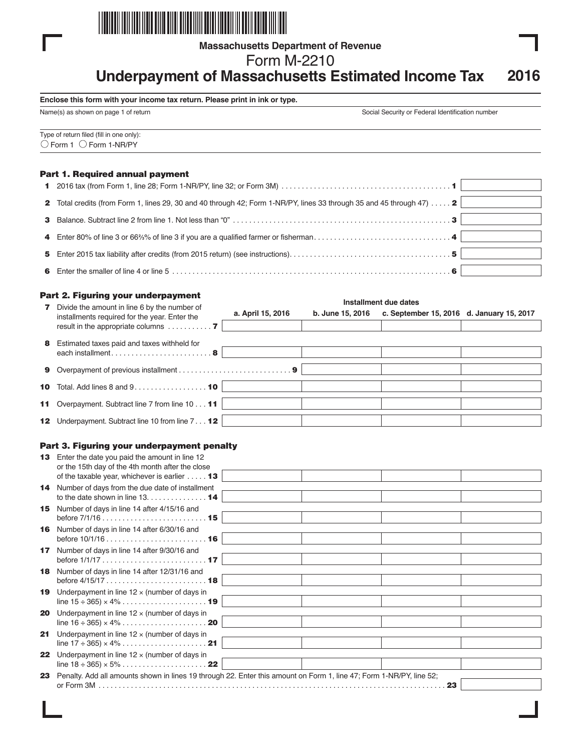

**Massachusetts Department of Revenue**

Form M-2210

# **Underpayment of Massachusetts Estimated Income Tax 2016**

#### **Enclose this form with your income tax return. Please print in ink or type.**

Name(s) as shown on page 1 of return Social Security or Federal Identification number

| Type of return filed (fill in one only):<br>$\overline{\bigcirc}$ Form 1 $\overline{\bigcirc}$ Form 1-NR/PY |  |  |
|-------------------------------------------------------------------------------------------------------------|--|--|
|                                                                                                             |  |  |

# Part 1. Required annual payment

| 1 2016 tax (from Form 1, line 28; Form 1-NR/PY, line 32; or Form 3M) $\ldots$ $\ldots$ $\ldots$ $\ldots$ $\ldots$ $\ldots$ $\ldots$ $\ldots$ $\ldots$ |  |
|-------------------------------------------------------------------------------------------------------------------------------------------------------|--|
| 2 Total credits (from Form 1, lines 29, 30 and 40 through 42; Form 1-NR/PY, lines 33 through 35 and 45 through 47) 2                                  |  |
|                                                                                                                                                       |  |
|                                                                                                                                                       |  |
|                                                                                                                                                       |  |
|                                                                                                                                                       |  |

|              | Part 2. Figuring your underpayment                                                                                                                   |                   |                  | Installment due dates                     |  |
|--------------|------------------------------------------------------------------------------------------------------------------------------------------------------|-------------------|------------------|-------------------------------------------|--|
| $\mathbf{z}$ | Divide the amount in line 6 by the number of<br>installments required for the year. Enter the<br>result in the appropriate columns $\dots\dots\dots$ | a. April 15, 2016 | b. June 15, 2016 | c. September 15, 2016 d. January 15, 2017 |  |
| 8            | Estimated taxes paid and taxes withheld for<br>each installment8                                                                                     |                   |                  |                                           |  |
|              |                                                                                                                                                      |                   |                  |                                           |  |
|              | <b>10</b> Total. Add lines 8 and $9 \ldots \ldots \ldots \ldots \ldots$                                                                              |                   |                  |                                           |  |
|              | 11 Overpayment. Subtract line 7 from line 10 11                                                                                                      |                   |                  |                                           |  |
|              | <b>12</b> Underpayment. Subtract line 10 from line 7 <b>12</b>                                                                                       |                   |                  |                                           |  |

# Part 3. Figuring your underpayment penalty

| 13               | Enter the date you paid the amount in line 12<br>or the 15th day of the 4th month after the close<br>of the taxable year, whichever is earlier $\dots$ 13 |  |    |  |
|------------------|-----------------------------------------------------------------------------------------------------------------------------------------------------------|--|----|--|
|                  |                                                                                                                                                           |  |    |  |
|                  | <b>14</b> Number of days from the due date of installment<br>to the date shown in line $13, \ldots, \ldots, \ldots, 14$                                   |  |    |  |
| 15               | Number of days in line 14 after 4/15/16 and                                                                                                               |  |    |  |
|                  |                                                                                                                                                           |  |    |  |
| 16               | Number of days in line 14 after 6/30/16 and                                                                                                               |  |    |  |
| 17 <sup>17</sup> |                                                                                                                                                           |  |    |  |
|                  | Number of days in line 14 after 9/30/16 and                                                                                                               |  |    |  |
|                  | 18 Number of days in line 14 after 12/31/16 and                                                                                                           |  |    |  |
|                  |                                                                                                                                                           |  |    |  |
| 19               | Underpayment in line $12 \times$ (number of days in                                                                                                       |  |    |  |
|                  |                                                                                                                                                           |  |    |  |
| 20               | Underpayment in line $12 \times$ (number of days in                                                                                                       |  |    |  |
|                  |                                                                                                                                                           |  |    |  |
| 21               | Underpayment in line $12 \times$ (number of days in                                                                                                       |  |    |  |
|                  |                                                                                                                                                           |  |    |  |
| 22               | Underpayment in line $12 \times$ (number of days in                                                                                                       |  |    |  |
|                  |                                                                                                                                                           |  |    |  |
| 23               | Penalty. Add all amounts shown in lines 19 through 22. Enter this amount on Form 1, line 47; Form 1-NR/PY, line 52;                                       |  | 23 |  |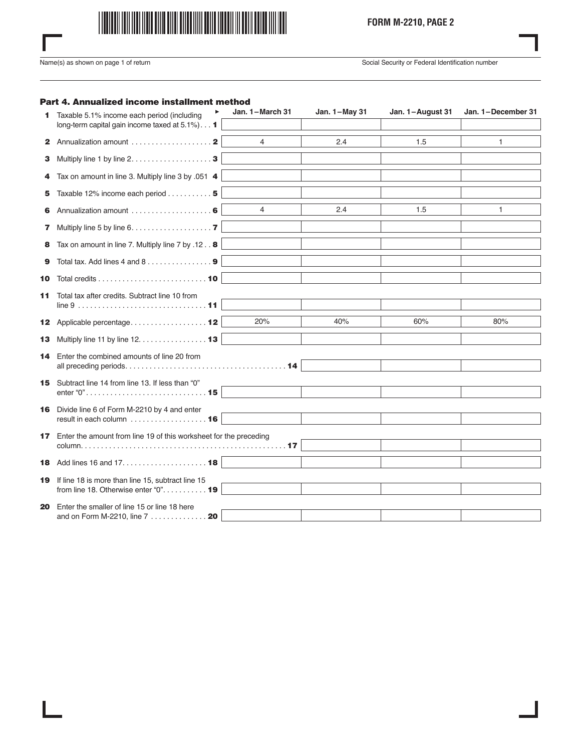

**FORM M-2210, PAGE 2**

I

Name(s) as shown on page 1 of return Social Security or Federal Identification number

# Part 4. Annualized income installment method

| 1.        | Taxable 5.1% income each period (including                                                               | Jan. 1-March 31 | Jan. 1-May 31 | Jan. 1-August 31 | Jan. 1-December 31 |
|-----------|----------------------------------------------------------------------------------------------------------|-----------------|---------------|------------------|--------------------|
|           | long-term capital gain income taxed at 5.1%) 1                                                           |                 |               |                  |                    |
|           |                                                                                                          | $\overline{4}$  | 2.4           | 1.5              | 1                  |
| з         | Multiply line 1 by line $2, \ldots, \ldots, \ldots, \ldots, \mathbf{3}$                                  |                 |               |                  |                    |
| 4         | Tax on amount in line 3. Multiply line 3 by .051 4                                                       |                 |               |                  |                    |
| 5         | Taxable 12% income each period 5                                                                         |                 |               |                  |                    |
| 6         |                                                                                                          | $\overline{4}$  | 2.4           | 1.5              | 1                  |
| 7.        | Multiply line 5 by line 6. 7                                                                             |                 |               |                  |                    |
| 8         | Tax on amount in line 7. Multiply line 7 by .12. . 8                                                     |                 |               |                  |                    |
| 9         |                                                                                                          |                 |               |                  |                    |
| 10        | Total credits $\dots\dots\dots\dots\dots\dots\dots\dots$                                                 |                 |               |                  |                    |
| 11        | Total tax after credits. Subtract line 10 from                                                           |                 |               |                  |                    |
|           | 12 Applicable percentage 12                                                                              | 20%             | 40%           | 60%              | 80%                |
| 13.       | Multiply line 11 by line 12. 13                                                                          |                 |               |                  |                    |
| 14.       | Enter the combined amounts of line 20 from                                                               |                 |               |                  |                    |
|           |                                                                                                          |                 |               |                  |                    |
|           | 15 Subtract line 14 from line 13. If less than "0"                                                       |                 |               |                  |                    |
| 16        | Divide line 6 of Form M-2210 by 4 and enter<br>result in each column $\dots\dots\dots\dots\dots\dots$ 16 |                 |               |                  |                    |
| 17        | Enter the amount from line 19 of this worksheet for the preceding                                        |                 |               |                  |                    |
|           |                                                                                                          |                 |               |                  |                    |
| 18.<br>19 | If line 18 is more than line 15, subtract line 15<br>from line 18. Otherwise enter "0". 19               |                 |               |                  |                    |